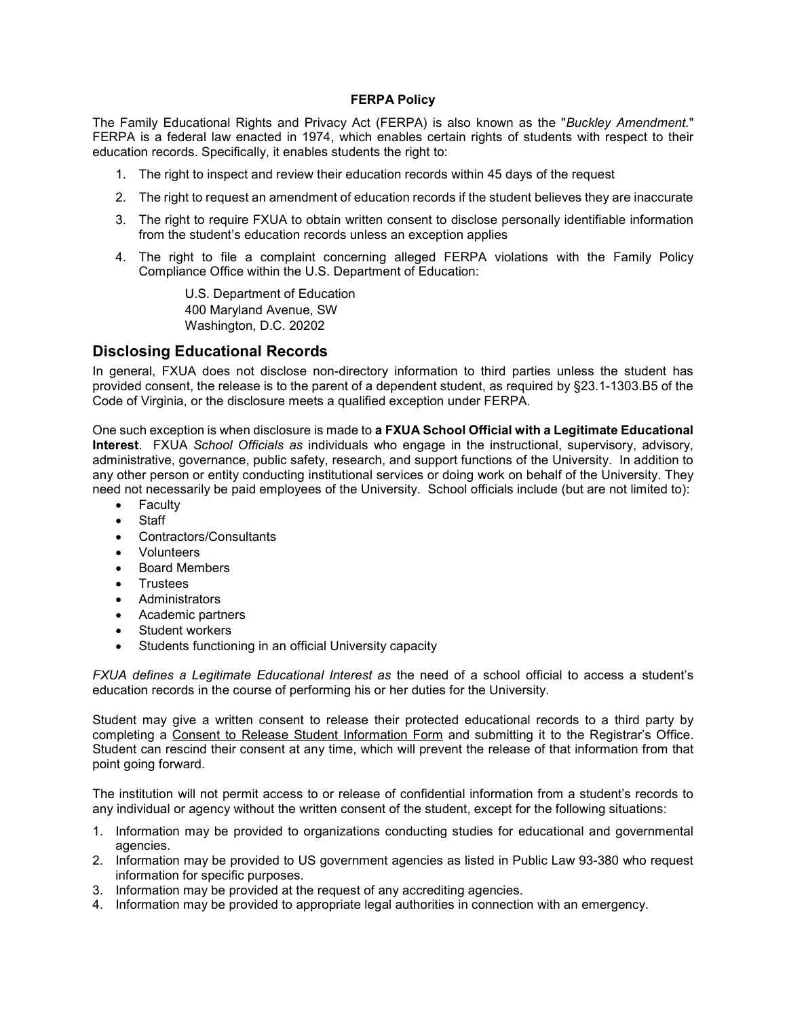#### FERPA Policy

The Family Educational Rights and Privacy Act (FERPA) is also known as the "Buckley Amendment." FERPA is a federal law enacted in 1974, which enables certain rights of students with respect to their education records. Specifically, it enables students the right to:

- 1. The right to inspect and review their education records within 45 days of the request
- 2. The right to request an amendment of education records if the student believes they are inaccurate
- 3. The right to require FXUA to obtain written consent to disclose personally identifiable information from the student's education records unless an exception applies
- 4. The right to file a complaint concerning alleged FERPA violations with the Family Policy Compliance Office within the U.S. Department of Education:

U.S. Department of Education 400 Maryland Avenue, SW Washington, D.C. 20202

#### Disclosing Educational Records

In general, FXUA does not disclose non-directory information to third parties unless the student has provided consent, the release is to the parent of a dependent student, as required by §23.1-1303.B5 of the Code of Virginia, or the disclosure meets a qualified exception under FERPA.

One such exception is when disclosure is made to a FXUA School Official with a Legitimate Educational Interest. FXUA School Officials as individuals who engage in the instructional, supervisory, advisory, administrative, governance, public safety, research, and support functions of the University. In addition to any other person or entity conducting institutional services or doing work on behalf of the University. They need not necessarily be paid employees of the University. School officials include (but are not limited to):

- Faculty
- Staff
- Contractors/Consultants
- Volunteers
- Board Members
- **Trustees**
- Administrators
- Academic partners
- Student workers
- Students functioning in an official University capacity

FXUA defines a Legitimate Educational Interest as the need of a school official to access a student's education records in the course of performing his or her duties for the University.

Student may give a written consent to release their protected educational records to a third party by completing a Consent to Release Student Information Form and submitting it to the Registrar's Office. Student can rescind their consent at any time, which will prevent the release of that information from that point going forward.

The institution will not permit access to or release of confidential information from a student's records to any individual or agency without the written consent of the student, except for the following situations:

- 1. Information may be provided to organizations conducting studies for educational and governmental agencies.
- 2. Information may be provided to US government agencies as listed in Public Law 93-380 who request information for specific purposes.
- 3. Information may be provided at the request of any accrediting agencies.
- 4. Information may be provided to appropriate legal authorities in connection with an emergency.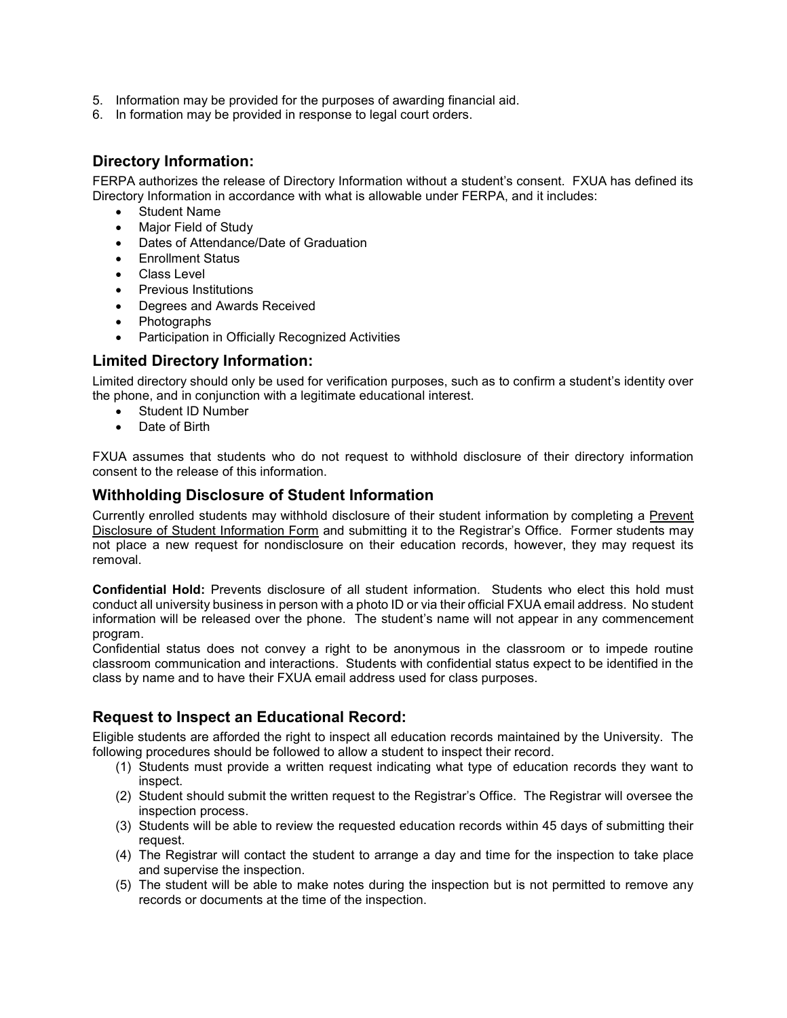- 5. Information may be provided for the purposes of awarding financial aid.
- 6. In formation may be provided in response to legal court orders.

## Directory Information:

FERPA authorizes the release of Directory Information without a student's consent. FXUA has defined its Directory Information in accordance with what is allowable under FERPA, and it includes:

- Student Name
- Major Field of Study
- Dates of Attendance/Date of Graduation
- Enrollment Status
- Class Level
- **•** Previous Institutions
- Degrees and Awards Received
- Photographs
- Participation in Officially Recognized Activities

#### Limited Directory Information:

Limited directory should only be used for verification purposes, such as to confirm a student's identity over the phone, and in conjunction with a legitimate educational interest.

- Student ID Number
- Date of Birth

FXUA assumes that students who do not request to withhold disclosure of their directory information consent to the release of this information.

## Withholding Disclosure of Student Information

Currently enrolled students may withhold disclosure of their student information by completing a Prevent Disclosure of Student Information Form and submitting it to the Registrar's Office. Former students may not place a new request for nondisclosure on their education records, however, they may request its removal.

Confidential Hold: Prevents disclosure of all student information. Students who elect this hold must conduct all university business in person with a photo ID or via their official FXUA email address. No student information will be released over the phone. The student's name will not appear in any commencement program.

Confidential status does not convey a right to be anonymous in the classroom or to impede routine classroom communication and interactions. Students with confidential status expect to be identified in the class by name and to have their FXUA email address used for class purposes.

# Request to Inspect an Educational Record:

Eligible students are afforded the right to inspect all education records maintained by the University. The following procedures should be followed to allow a student to inspect their record.

- (1) Students must provide a written request indicating what type of education records they want to inspect.
- (2) Student should submit the written request to the Registrar's Office. The Registrar will oversee the inspection process.
- (3) Students will be able to review the requested education records within 45 days of submitting their request.
- (4) The Registrar will contact the student to arrange a day and time for the inspection to take place and supervise the inspection.
- (5) The student will be able to make notes during the inspection but is not permitted to remove any records or documents at the time of the inspection.